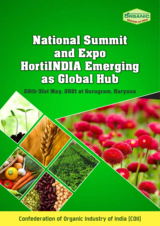

# National Summit and Expo HortiINDIA Emerging as Global Hub

28th-31st May, 2021 at Gurugram, Haryana

Confederation of Organic Industry of India (COII)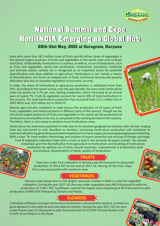### 28th-31st May, 2021 at Gurugram, Haryana

India with more than 28.2 million tones of fruits and 66 million tones of vegetables is the second largest producer of fruits and vegetables in the world, next only to Brazil and China. Undoubtedly, horticulture is a science, as well as, an art of production, such as fruits and vegetables, spices and condiments, omamental, plantation, medicinal and aromatic plants, cashew, etc is recognized as an important sector for potential diversification and value addition in agriculture. Horticulture is not merely a means of diversification, but forms an integral part of food, nutritional security and poverty alleviation and also an essential ingredient of economic security.

In India, the share of horticulture in agriculture production is attributed more than 35%. According to the recent survey, over the past decade, the area under horticulture crops has grown by 2.7% per year, fueling production, which increased at an annual pace of nearly 7%. Fruits & vegetables account for nearly 90% of total horticulture in the country. The total horticulture production has increased from 211.2 million ton in 2007-08 to over 312 million ton in 2018-19.

Diverse agro-climatic conditions in India ensure the production of all types of fresh fruits, vegetables and medicinal plants in different parts of the country. Though we are one of the largest producers of fruits and vegetables in the world, yet the production of horticulture commodities is far less as compared to the existing demand in the country. Therefore, there is vast scope to produce more horticulture crops.

Horticulture has enormous potential in India due to its excellent geographical location with climate ranging from dry sub-humid to arid. Needless to mention, increasing horticulture production will contribute to commercialization by generating associated employment in input supply, processing packaging and marketing. With a view "to mark modern technology and creation of export potential and earning of foreign exchange,

Fruit & Vegetable cultivation State with a vision to lead in the domestic & export market" has already embarked upon the diversification from agriculture to horticulture and doubling of horticulture production by optimal use of basic natural resources, improvement in productivity yield and produce, dissemination of latest, quality of horticulture.

# **FRUITS**

Total area under fruit cultivation in Haryana was 64 thousand ha along with production of 793.4 MT by the end of 2017-18. Among all the fruit crops, Citrus was acquainted with maximum area.

# *VEGETABLES*

Haryana state being close to the largest consumer market in Delhi is suited for vegetable cultivation. During the year 2017-18, the area under vegetables was 446.9 thousand ha with the production of 7140.7 MT. Cauliflower covered the largest area comprising of 39.9 thousand ha with production of 698.9 MT followed by Tomato and Potato.

# **E** FLOWERS

Cultivation of flowers amongst the farmers has become a remunerative venture, as there is a good demand in the national and international markets. During the year 2017-18, the area under flowers was 5.5 thousand ha with the production of 57.6 MT of loose flowers and 4.5 MT of cut flowers in the State.



**CONFEDERATION OF** GAN **INDUSTRY OF INDIA** 



National Summit and Expo HortiINDIA Emerging as Global Hub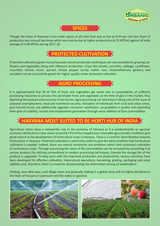



Though the share of Haryana's area under spices at all India level was as low as 0.44 per cent but share of production was around two times which was mainly due to higher productivity (4.55 MT/ha) against all India average of 2.09 MT/ha during 2017-18.

# **PROTECTED CULTIVATION**

Protected cultivation/green-house/low poly tunnels production techniques are now available for growing cutflowers and vegetables along with offseason production. Crops like tomato, cucurbits, cabbage, cauliflower, cucumber, lettuce, onion, spinach, brinjal, pepper, turnip, radish, rose, chrysanthemum, gerbera, and carnation can be successfully grown for higher quality under protected cultivation.

## **AGRO PROCESSING**

It is approximated that 30 t0 35% of fruits and vegetables get waste due to unavailability of sufficient processing industries to process the perishable fruits and vegetables at the time of glut in the market, thus depriving the produce and economy of the farmer. Agro-processing not only help in taking care of the issue of seasonal unemployment, food and nutritional security, relocation of individuals from rural and urban zones, post harvest losses, yet additionally upgrades consumer satisfaction, up gradation in quality and expanding time span of usability, income and employment generation through value addition of farm commodities.

# **HARYANA MOST SUITED TO BE HORTI HUB OF INDIA**

Agriculture sector plays a noteworthy role in the economy of Haryana as it is predominantly an agrarian economy. Horticulture crops covers around 8.17% of the cropped area. Favorable agro climatic conditions give great chance to the development of horticulture crops in Haryana. There is a need for diversification towards horticulture in Haryana. Protected cultivation is extremely useful to give the ideal condition that horticulture cultivation is needed. Indeed, there are several constraints and problems which limit protected cultivation of horticulture crops. Through processing the value of the commodities can be increased by converting it to various products by utilizing conventional or modern processing techniques, thereby the storage life of the produce is upgraded. To keep pace with the improved production and productivity, various machines have been developed for effective cultivation, intercultural operations, harvesting, grading, packaging and value addition and, therefore, there is a need for disseminating the information among all stakeholders.

Holding, year-after-year, such Mega event and gradually making it a global show will be highly beneficial to the State of Haryana in particular and the nation in general.